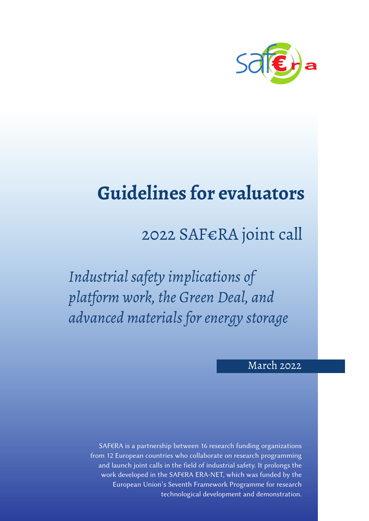

# **Guidelines for evaluators**

# 2022 SAF€RA joint call

*Industrial safety implications of platform work, the Green Deal, and advanced materials for energy storage*

## March 2022

SAF€RA is a partnership between 16 research funding organizations from 12 European countries who collaborate on research programming and launch joint calls in the field of industrial safety. It prolongs the work developed in the SAF€RA ERA-NET, which was funded by the European Union's Seventh Framework Programme for research technological development and demonstration.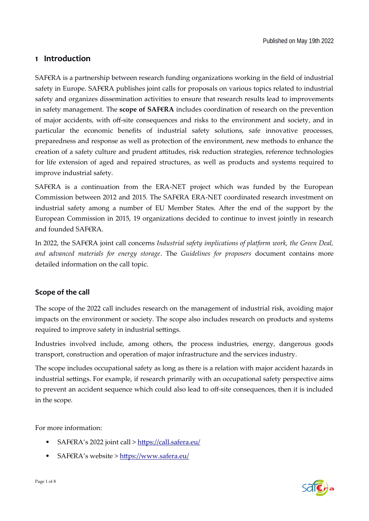#### **1 Introduction**

SAF€RA is a partnership between research funding organizations working in the field of industrial safety in Europe. SAF€RA publishes joint calls for proposals on various topics related to industrial safety and organizes dissemination activities to ensure that research results lead to improvements in safety management. The **scope of SAF€RA** includes coordination of research on the prevention of major accidents, with off-site consequences and risks to the environment and society, and in particular the economic benefits of industrial safety solutions, safe innovative processes, preparedness and response as well as protection of the environment, new methods to enhance the creation of a safety culture and prudent attitudes, risk reduction strategies, reference technologies for life extension of aged and repaired structures, as well as products and systems required to improve industrial safety.

SAF€RA is a continuation from the ERA-NET project which was funded by the European Commission between 2012 and 2015. The SAF€RA ERA-NET coordinated research investment on industrial safety among a number of EU Member States. After the end of the support by the European Commission in 2015, 19 organizations decided to continue to invest jointly in research and founded SAF€RA.

In 2022, the SAF€RA joint call concerns *Industrial safety implications of platform work, the Green Deal, and advanced materials for energy storage*. The *Guidelines for proposers* document contains more detailed information on the call topic.

#### **Scope of the call**

The scope of the 2022 call includes research on the management of industrial risk, avoiding major impacts on the environment or society. The scope also includes research on products and systems required to improve safety in industrial settings.

Industries involved include, among others, the process industries, energy, dangerous goods transport, construction and operation of major infrastructure and the services industry.

The scope includes occupational safety as long as there is a relation with major accident hazards in industrial settings. For example, if research primarily with an occupational safety perspective aims to prevent an accident sequence which could also lead to off-site consequences, then it is included in the scope.

For more information:

- SAF€RA's 2022 joint call > [https://call.safera.eu/](http://call.safera.eu/)
- SAF€RA's website > [https://www.safera.eu/](http://safera.industrialsafety-tp.org/)

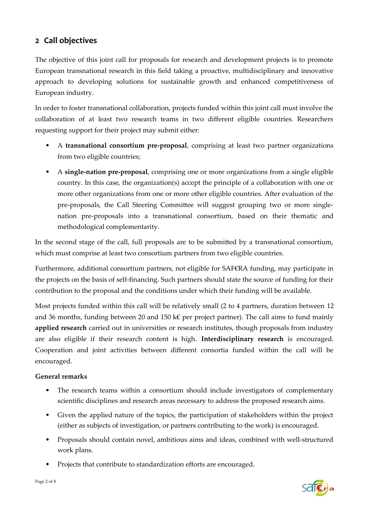### **2 Call objectives**

The objective of this joint call for proposals for research and development projects is to promote European transnational research in this field taking a proactive, multidisciplinary and innovative approach to developing solutions for sustainable growth and enhanced competitiveness of European industry.

In order to foster transnational collaboration, projects funded within this joint call must involve the collaboration of at least two research teams in two different eligible countries. Researchers requesting support for their project may submit either:

- A **transnational consortium pre-proposal**, comprising at least two partner organizations from two eligible countries;
- A **single-nation pre-proposal**, comprising one or more organizations from a single eligible country. In this case, the organization(s) accept the principle of a collaboration with one or more other organizations from one or more other eligible countries. After evaluation of the pre-proposals, the Call Steering Committee will suggest grouping two or more singlenation pre-proposals into a transnational consortium, based on their thematic and methodological complementarity.

In the second stage of the call, full proposals are to be submitted by a transnational consortium, which must comprise at least two consortium partners from two eligible countries.

Furthermore, additional consortium partners, not eligible for SAF€RA funding, may participate in the projects on the basis of self-financing. Such partners should state the source of funding for their contribution to the proposal and the conditions under which their funding will be available.

Most projects funded within this call will be relatively small (2 to 4 partners, duration between 12 and 36 months, funding between 20 and 150 k€ per project partner). The call aims to fund mainly **applied research** carried out in universities or research institutes, though proposals from industry are also eligible if their research content is high. **Interdisciplinary research** is encouraged. Cooperation and joint activities between different consortia funded within the call will be encouraged.

#### **General remarks**

- The research teams within a consortium should include investigators of complementary scientific disciplines and research areas necessary to address the proposed research aims.
- Given the applied nature of the topics, the participation of stakeholders within the project (either as subjects of investigation, or partners contributing to the work) is encouraged.
- Proposals should contain novel, ambitious aims and ideas, combined with well-structured work plans.
- Projects that contribute to standardization efforts are encouraged.

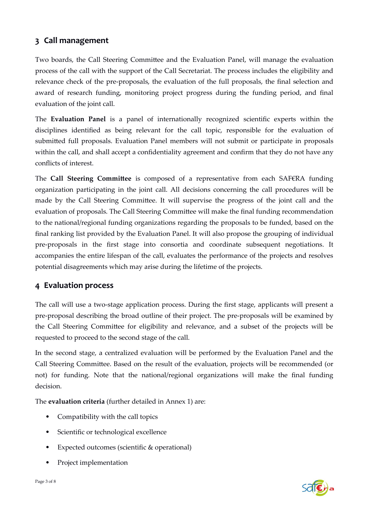### **3 Call management**

Two boards, the Call Steering Committee and the Evaluation Panel, will manage the evaluation process of the call with the support of the Call Secretariat. The process includes the eligibility and relevance check of the pre-proposals, the evaluation of the full proposals, the final selection and award of research funding, monitoring project progress during the funding period, and final evaluation of the joint call.

The **Evaluation Panel** is a panel of internationally recognized scientific experts within the disciplines identified as being relevant for the call topic, responsible for the evaluation of submitted full proposals. Evaluation Panel members will not submit or participate in proposals within the call, and shall accept a confidentiality agreement and confirm that they do not have any conflicts of interest.

The **Call Steering Committee** is composed of a representative from each SAF€RA funding organization participating in the joint call. All decisions concerning the call procedures will be made by the Call Steering Committee. It will supervise the progress of the joint call and the evaluation of proposals. The Call Steering Committee will make the final funding recommendation to the national/regional funding organizations regarding the proposals to be funded, based on the final ranking list provided by the Evaluation Panel. It will also propose the grouping of individual pre-proposals in the first stage into consortia and coordinate subsequent negotiations. It accompanies the entire lifespan of the call, evaluates the performance of the projects and resolves potential disagreements which may arise during the lifetime of the projects.

#### **4 Evaluation process**

The call will use a two-stage application process. During the first stage, applicants will present a pre-proposal describing the broad outline of their project. The pre-proposals will be examined by the Call Steering Committee for eligibility and relevance, and a subset of the projects will be requested to proceed to the second stage of the call.

In the second stage, a centralized evaluation will be performed by the Evaluation Panel and the Call Steering Committee. Based on the result of the evaluation, projects will be recommended (or not) for funding. Note that the national/regional organizations will make the final funding decision.

The **evaluation criteria** (further detailed in Annex 1) are:

- Compatibility with the call topics
- Scientific or technological excellence
- Expected outcomes (scientific & operational)
- Project implementation

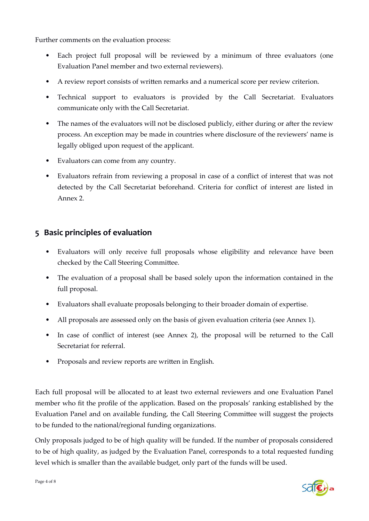Further comments on the evaluation process:

- Each project full proposal will be reviewed by a minimum of three evaluators (one Evaluation Panel member and two external reviewers).
- A review report consists of written remarks and a numerical score per review criterion.
- Technical support to evaluators is provided by the Call Secretariat. Evaluators communicate only with the Call Secretariat.
- The names of the evaluators will not be disclosed publicly, either during or after the review process. An exception may be made in countries where disclosure of the reviewers' name is legally obliged upon request of the applicant.
- Evaluators can come from any country.
- Evaluators refrain from reviewing a proposal in case of a conflict of interest that was not detected by the Call Secretariat beforehand. Criteria for conflict of interest are listed in Annex 2.

## **5 Basic principles of evaluation**

- Evaluators will only receive full proposals whose eligibility and relevance have been checked by the Call Steering Committee.
- The evaluation of a proposal shall be based solely upon the information contained in the full proposal.
- Evaluators shall evaluate proposals belonging to their broader domain of expertise.
- All proposals are assessed only on the basis of given evaluation criteria (see Annex 1).
- In case of conflict of interest (see Annex 2), the proposal will be returned to the Call Secretariat for referral.
- Proposals and review reports are written in English.

Each full proposal will be allocated to at least two external reviewers and one Evaluation Panel member who fit the profile of the application. Based on the proposals' ranking established by the Evaluation Panel and on available funding, the Call Steering Committee will suggest the projects to be funded to the national/regional funding organizations.

Only proposals judged to be of high quality will be funded. If the number of proposals considered to be of high quality, as judged by the Evaluation Panel, corresponds to a total requested funding level which is smaller than the available budget, only part of the funds will be used.

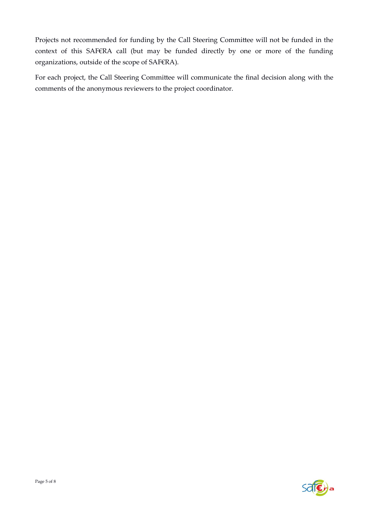Projects not recommended for funding by the Call Steering Committee will not be funded in the context of this SAF€RA call (but may be funded directly by one or more of the funding organizations, outside of the scope of SAF€RA).

For each project, the Call Steering Committee will communicate the final decision along with the comments of the anonymous reviewers to the project coordinator.

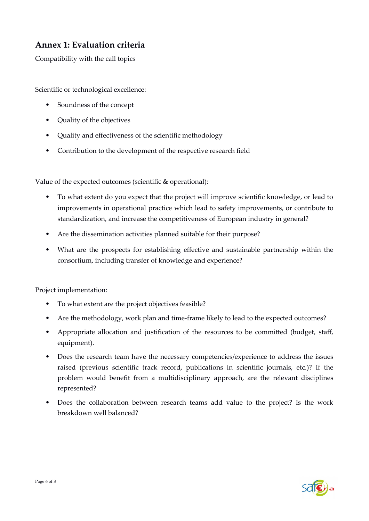# **Annex 1: Evaluation criteria**

Compatibility with the call topics

Scientific or technological excellence:

- Soundness of the concept
- Quality of the objectives
- Quality and effectiveness of the scientific methodology
- Contribution to the development of the respective research field

Value of the expected outcomes (scientific & operational):

- To what extent do you expect that the project will improve scientific knowledge, or lead to improvements in operational practice which lead to safety improvements, or contribute to standardization, and increase the competitiveness of European industry in general?
- Are the dissemination activities planned suitable for their purpose?
- What are the prospects for establishing effective and sustainable partnership within the consortium, including transfer of knowledge and experience?

Project implementation:

- To what extent are the project objectives feasible?
- Are the methodology, work plan and time-frame likely to lead to the expected outcomes?
- Appropriate allocation and justification of the resources to be committed (budget, staff, equipment).
- Does the research team have the necessary competencies/experience to address the issues raised (previous scientific track record, publications in scientific journals, etc.)? If the problem would benefit from a multidisciplinary approach, are the relevant disciplines represented?
- Does the collaboration between research teams add value to the project? Is the work breakdown well balanced?

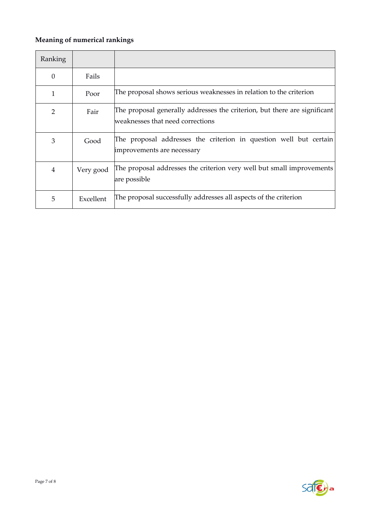## **Meaning of numerical rankings**

| Ranking  |           |                                                                                                               |
|----------|-----------|---------------------------------------------------------------------------------------------------------------|
| $\theta$ | Fails     |                                                                                                               |
| 1        | Poor      | The proposal shows serious weaknesses in relation to the criterion                                            |
| 2        | Fair      | The proposal generally addresses the criterion, but there are significant<br>weaknesses that need corrections |
| 3        | Good      | The proposal addresses the criterion in question well but certain<br>improvements are necessary               |
| 4        | Very good | The proposal addresses the criterion very well but small improvements<br>are possible                         |
| 5        | Excellent | The proposal successfully addresses all aspects of the criterion                                              |